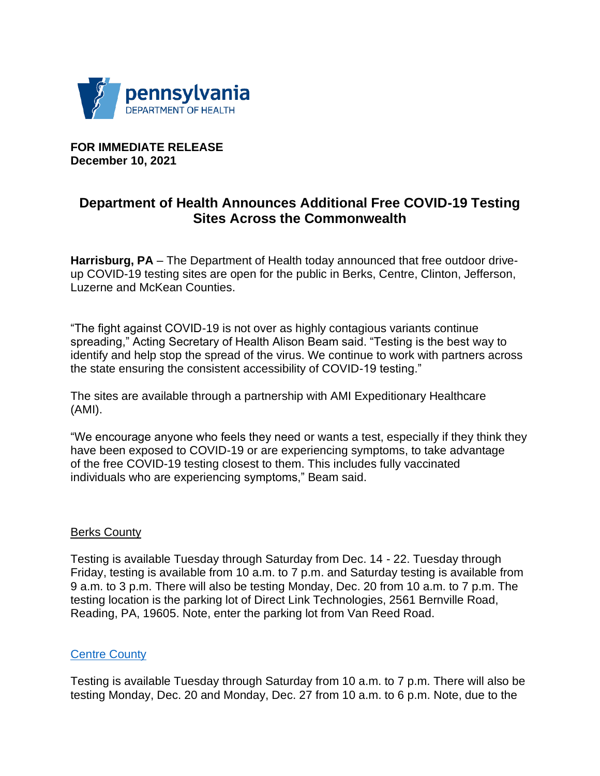

**FOR IMMEDIATE RELEASE December 10, 2021** 

# **Department of Health Announces Additional Free COVID-19 Testing Sites Across the Commonwealth**

**Harrisburg, PA** – The Department of Health today announced that free outdoor driveup COVID-19 testing sites are open for the public in Berks, Centre, Clinton, Jefferson, Luzerne and McKean Counties.

"The fight against COVID-19 is not over as highly contagious variants continue spreading," Acting Secretary of Health Alison Beam said. "Testing is the best way to identify and help stop the spread of the virus. We continue to work with partners across the state ensuring the consistent accessibility of COVID-19 testing."

The sites are available through a partnership with AMI Expeditionary Healthcare (AMI).

"We encourage anyone who feels they need or wants a test, especially if they think they have been exposed to COVID-19 or are experiencing symptoms, to take advantage of the free COVID-19 testing closest to them. This includes fully vaccinated individuals who are experiencing symptoms," Beam said.

#### **Berks County**

Testing is available Tuesday through Saturday from Dec. 14 - 22. Tuesday through Friday, testing is available from 10 a.m. to 7 p.m. and Saturday testing is available from 9 a.m. to 3 p.m. There will also be testing Monday, Dec. 20 from 10 a.m. to 7 p.m. The testing location is the parking lot of Direct Link Technologies, 2561 Bernville Road, Reading, PA, 19605. Note, enter the parking lot from Van Reed Road.

#### [Centre County](https://www.media.pa.gov/pages/health-details.aspx?newsid=1582)

Testing is available Tuesday through Saturday from 10 a.m. to 7 p.m. There will also be testing Monday, Dec. 20 and Monday, Dec. 27 from 10 a.m. to 6 p.m. Note, due to the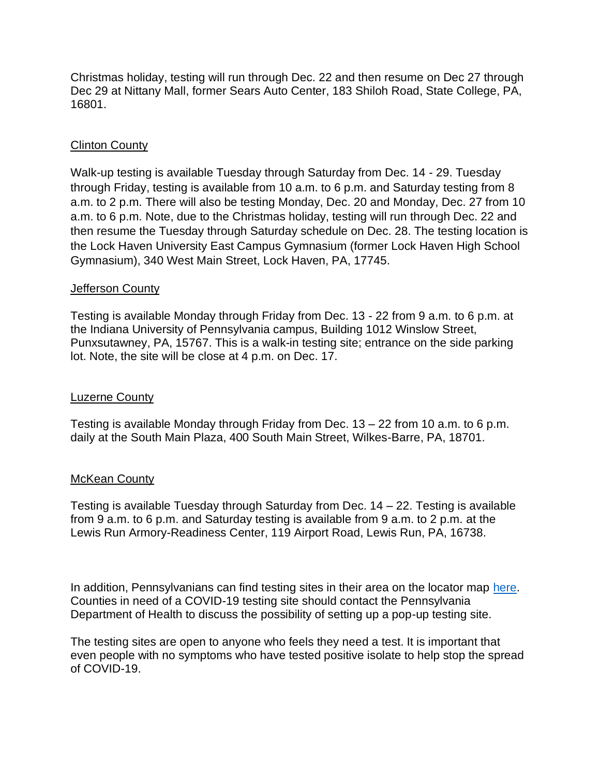Christmas holiday, testing will run through Dec. 22 and then resume on Dec 27 through Dec 29 at Nittany Mall, former Sears Auto Center, 183 Shiloh Road, State College, PA, 16801.

## Clinton County

Walk-up testing is available Tuesday through Saturday from Dec. 14 - 29. Tuesday through Friday, testing is available from 10 a.m. to 6 p.m. and Saturday testing from 8 a.m. to 2 p.m. There will also be testing Monday, Dec. 20 and Monday, Dec. 27 from 10 a.m. to 6 p.m. Note, due to the Christmas holiday, testing will run through Dec. 22 and then resume the Tuesday through Saturday schedule on Dec. 28. The testing location is the Lock Haven University East Campus Gymnasium (former Lock Haven High School Gymnasium), 340 West Main Street, Lock Haven, PA, 17745.

#### Jefferson County

Testing is available Monday through Friday from Dec. 13 - 22 from 9 a.m. to 6 p.m. at the Indiana University of Pennsylvania campus, Building 1012 Winslow Street, Punxsutawney, PA, 15767. This is a walk-in testing site; entrance on the side parking lot. Note, the site will be close at 4 p.m. on Dec. 17.

## Luzerne County

Testing is available Monday through Friday from Dec. 13 – 22 from 10 a.m. to 6 p.m. daily at the South Main Plaza, 400 South Main Street, Wilkes-Barre, PA, 18701.

## **McKean County**

Testing is available Tuesday through Saturday from Dec. 14 – 22. Testing is available from 9 a.m. to 6 p.m. and Saturday testing is available from 9 a.m. to 2 p.m. at the Lewis Run Armory-Readiness Center, 119 Airport Road, Lewis Run, PA, 16738.

In addition, Pennsylvanians can find testing sites in their area on the locator map [here.](https://www.health.pa.gov/topics/disease/coronavirus/Pages/Symptoms-Testing.aspx) Counties in need of a COVID-19 testing site should contact the Pennsylvania Department of Health to discuss the possibility of setting up a pop-up testing site.

The testing sites are open to anyone who feels they need a test. It is important that even people with no symptoms who have tested positive isolate to help stop the spread of COVID-19.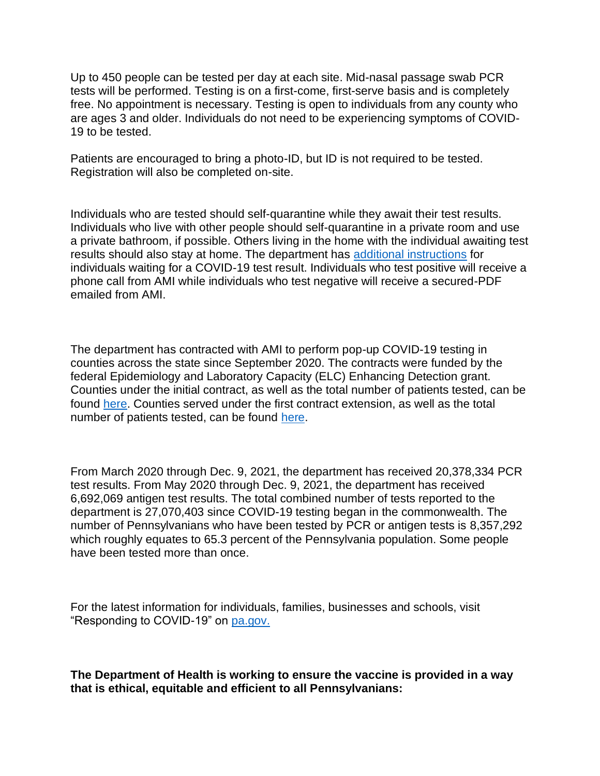Up to 450 people can be tested per day at each site. Mid-nasal passage swab PCR tests will be performed. Testing is on a first-come, first-serve basis and is completely free. No appointment is necessary. Testing is open to individuals from any county who are ages 3 and older. Individuals do not need to be experiencing symptoms of COVID-19 to be tested.

Patients are encouraged to bring a photo-ID, but ID is not required to be tested. Registration will also be completed on-site.

Individuals who are tested should self-quarantine while they await their test results. Individuals who live with other people should self-quarantine in a private room and use a private bathroom, if possible. Others living in the home with the individual awaiting test results should also stay at home. The department has [additional instructions](https://www.health.pa.gov/topics/Documents/HAN/COVID-19%20Patient%20Instructions%20for%20Self%20Isolation.pdf) for individuals waiting for a COVID-19 test result. Individuals who test positive will receive a phone call from AMI while individuals who test negative will receive a secured-PDF emailed from AMI.

The department has contracted with AMI to perform pop-up COVID-19 testing in counties across the state since September 2020. The contracts were funded by the federal Epidemiology and Laboratory Capacity (ELC) Enhancing Detection grant. Counties under the initial contract, as well as the total number of patients tested, can be found [here.](https://www.governor.pa.gov/newsroom/wolf-administration-expands-testing-sites-across-the-commonwealth/) Counties served under the first contract extension, as well as the total number of patients tested, can be found [here.](https://www.media.pa.gov/pages/health-details.aspx?newsid=1383)

From March 2020 through Dec. 9, 2021, the department has received 20,378,334 PCR test results. From May 2020 through Dec. 9, 2021, the department has received 6,692,069 antigen test results. The total combined number of tests reported to the department is 27,070,403 since COVID-19 testing began in the commonwealth. The number of Pennsylvanians who have been tested by PCR or antigen tests is 8,357,292 which roughly equates to 65.3 percent of the Pennsylvania population. Some people have been tested more than once.

For the latest information for individuals, families, businesses and schools, visit "Responding to COVID-19" on [pa.gov.](https://gcc01.safelinks.protection.outlook.com/?url=https%3A%2F%2Fu7061146.ct.sendgrid.net%2Fls%2Fclick%3Fupn%3D4tNED-2FM8iDZJQyQ53jATUf3EKlvKmLGiqDAgyOMbLV4-3Duc4I_vgEn3bM32kgVUBufE6nsZeWmA505rFTBI7AtgDB8sHW0lEBlE7bqOCue0BrN3mjhJJWyXrvHdG327itnfTpo5ZrfuasPSlgpwsjHJM5HKGtWaFjOvtl64wMveXDP7YhxWx-2FTfj1Ij71JZqLonoHgz42sr79BS5pd-2Fws1YyPDwb11CKwOfOW-2FWJuNVo-2Buuhv3SBE0KcDWllhUR2IJZT5LL8Llrev1soEwPsu2ZQ-2BWnFisYBh3XYiPFFzqxQinI9XkYtRx1sQcB7GwVEKNKM-2FjmlbrmBkkTw3jy-2FycjA0nLe3ED-2FvSWPfi7KUAGfaFGGD2y3AS6YwhNhKOeZQnHdMFGbuiEkO-2F8SLAYGP2oNDTDhA-3D&data=02%7C01%7Camliggett%40pa.gov%7C743b91c0502b4720f25c08d85be398ae%7C418e284101284dd59b6c47fc5a9a1bde%7C0%7C0%7C637360380369335820&sdata=vFLRk0xglwfBrZ2Bg7feH7qg2L4O9gZ20IKpuvFiIK4%3D&reserved=0)

**The Department of Health is working to ensure the vaccine is provided in a way that is ethical, equitable and efficient to all Pennsylvanians:**